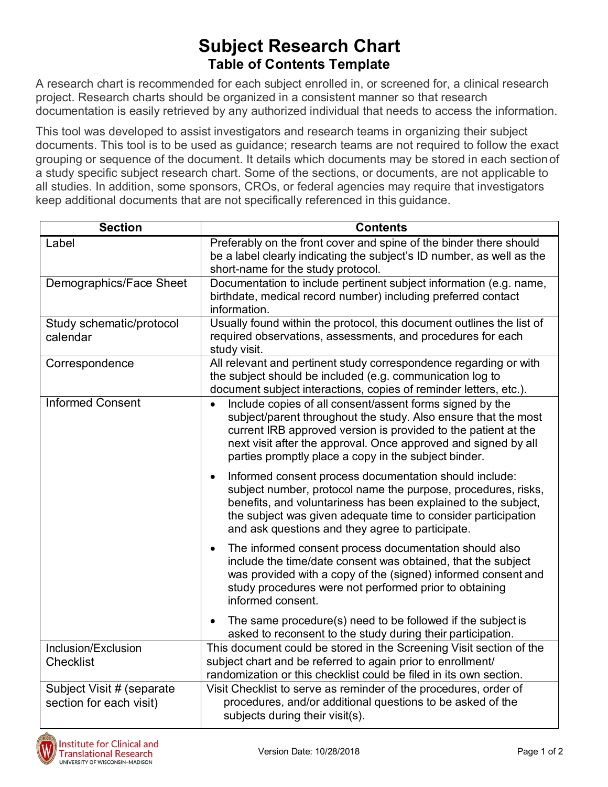## **Subject Research Chart Table of Contents Template**

A research chart is recommended for each subject enrolled in, or screened for, a clinical research project. Research charts should be organized in a consistent manner so that research documentation is easily retrieved by any authorized individual that needs to access the information.

This tool was developed to assist investigators and research teams in organizing their subject documents. This tool is to be used as guidance; research teams are not required to follow the exact grouping or sequence of the document. It details which documents may be stored in each sectionof a study specific subject research chart. Some of the sections, or documents, are not applicable to all studies. In addition, some sponsors, CROs, or federal agencies may require that investigators keep additional documents that are not specifically referenced in this guidance.

| <b>Section</b>                                       | <b>Contents</b>                                                                                                                                                                                                                                                                                                             |
|------------------------------------------------------|-----------------------------------------------------------------------------------------------------------------------------------------------------------------------------------------------------------------------------------------------------------------------------------------------------------------------------|
| Label                                                | Preferably on the front cover and spine of the binder there should<br>be a label clearly indicating the subject's ID number, as well as the<br>short-name for the study protocol.                                                                                                                                           |
| Demographics/Face Sheet                              | Documentation to include pertinent subject information (e.g. name,<br>birthdate, medical record number) including preferred contact<br>information.                                                                                                                                                                         |
| Study schematic/protocol<br>calendar                 | Usually found within the protocol, this document outlines the list of<br>required observations, assessments, and procedures for each<br>study visit.                                                                                                                                                                        |
| Correspondence                                       | All relevant and pertinent study correspondence regarding or with<br>the subject should be included (e.g. communication log to<br>document subject interactions, copies of reminder letters, etc.).                                                                                                                         |
| <b>Informed Consent</b>                              | Include copies of all consent/assent forms signed by the<br>subject/parent throughout the study. Also ensure that the most<br>current IRB approved version is provided to the patient at the<br>next visit after the approval. Once approved and signed by all<br>parties promptly place a copy in the subject binder.      |
|                                                      | Informed consent process documentation should include:<br>$\bullet$<br>subject number, protocol name the purpose, procedures, risks,<br>benefits, and voluntariness has been explained to the subject,<br>the subject was given adequate time to consider participation<br>and ask questions and they agree to participate. |
|                                                      | The informed consent process documentation should also<br>include the time/date consent was obtained, that the subject<br>was provided with a copy of the (signed) informed consent and<br>study procedures were not performed prior to obtaining<br>informed consent.                                                      |
|                                                      | The same procedure(s) need to be followed if the subject is<br>asked to reconsent to the study during their participation.                                                                                                                                                                                                  |
| Inclusion/Exclusion<br><b>Checklist</b>              | This document could be stored in the Screening Visit section of the<br>subject chart and be referred to again prior to enrollment/<br>randomization or this checklist could be filed in its own section.                                                                                                                    |
| Subject Visit # (separate<br>section for each visit) | Visit Checklist to serve as reminder of the procedures, order of<br>procedures, and/or additional questions to be asked of the<br>subjects during their visit(s).                                                                                                                                                           |